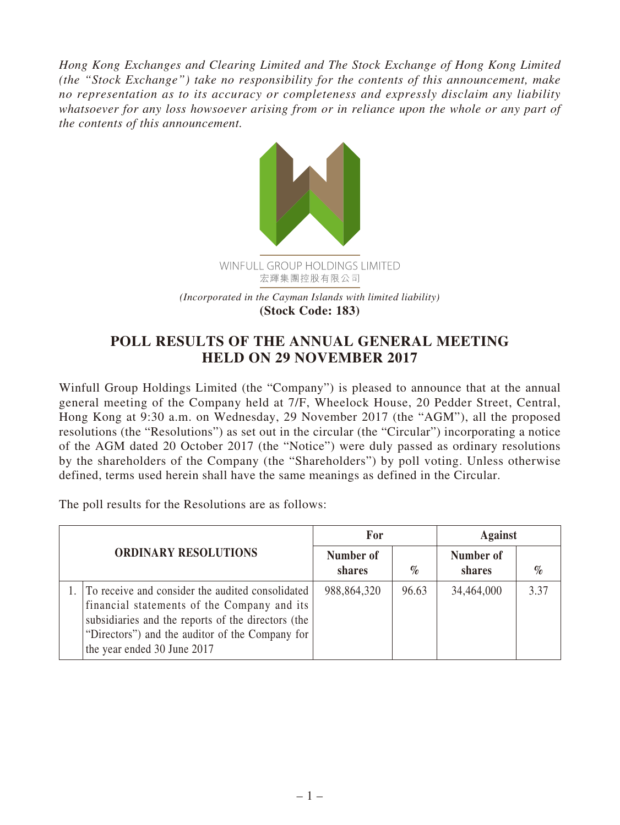*Hong Kong Exchanges and Clearing Limited and The Stock Exchange of Hong Kong Limited (the "Stock Exchange") take no responsibility for the contents of this announcement, make no representation as to its accuracy or completeness and expressly disclaim any liability whatsoever for any loss howsoever arising from or in reliance upon the whole or any part of the contents of this announcement.*



## **POLL RESULTS OF THE ANNUAL GENERAL MEETING HELD ON 29 NOVEMBER 2017**

Winfull Group Holdings Limited (the "Company") is pleased to announce that at the annual general meeting of the Company held at 7/F, Wheelock House, 20 Pedder Street, Central, Hong Kong at 9:30 a.m. on Wednesday, 29 November 2017 (the "AGM"), all the proposed resolutions (the "Resolutions") as set out in the circular (the "Circular") incorporating a notice of the AGM dated 20 October 2017 (the "Notice") were duly passed as ordinary resolutions by the shareholders of the Company (the "Shareholders") by poll voting. Unless otherwise defined, terms used herein shall have the same meanings as defined in the Circular.

The poll results for the Resolutions are as follows:

| <b>ORDINARY RESOLUTIONS</b> |                                                                                                                                                                                                                                         | For                 |       | <b>Against</b>      |      |
|-----------------------------|-----------------------------------------------------------------------------------------------------------------------------------------------------------------------------------------------------------------------------------------|---------------------|-------|---------------------|------|
|                             |                                                                                                                                                                                                                                         | Number of<br>shares | $\%$  | Number of<br>shares | $\%$ |
|                             | To receive and consider the audited consolidated<br>financial statements of the Company and its<br>subsidiaries and the reports of the directors (the<br>"Directors") and the auditor of the Company for<br>the year ended 30 June 2017 | 988,864,320         | 96.63 | 34,464,000          | 3.37 |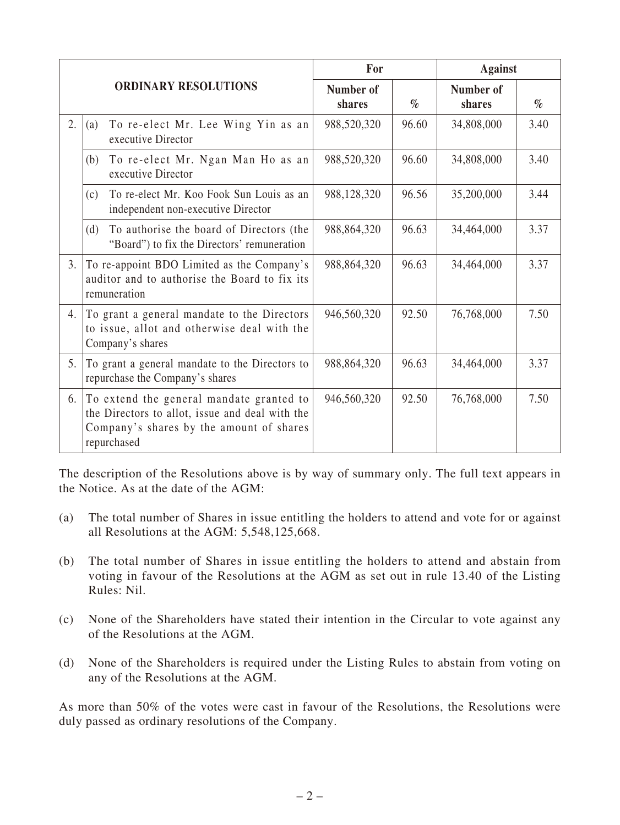| <b>ORDINARY RESOLUTIONS</b> |                                                                                                                                                        | For                 |       | <b>Against</b>      |      |
|-----------------------------|--------------------------------------------------------------------------------------------------------------------------------------------------------|---------------------|-------|---------------------|------|
|                             |                                                                                                                                                        | Number of<br>shares | $\%$  | Number of<br>shares | $\%$ |
| 2.                          | To re-elect Mr. Lee Wing Yin as an<br>(a)<br>executive Director                                                                                        | 988,520,320         | 96.60 | 34,808,000          | 3.40 |
|                             | To re-elect Mr. Ngan Man Ho as an<br>(b)<br>executive Director                                                                                         | 988,520,320         | 96.60 | 34,808,000          | 3.40 |
|                             | To re-elect Mr. Koo Fook Sun Louis as an<br>(c)<br>independent non-executive Director                                                                  | 988,128,320         | 96.56 | 35,200,000          | 3.44 |
|                             | To authorise the board of Directors (the<br>(d)<br>"Board") to fix the Directors' remuneration                                                         | 988,864,320         | 96.63 | 34,464,000          | 3.37 |
| 3.                          | To re-appoint BDO Limited as the Company's<br>auditor and to authorise the Board to fix its<br>remuneration                                            | 988,864,320         | 96.63 | 34,464,000          | 3.37 |
| 4.                          | To grant a general mandate to the Directors<br>to issue, allot and otherwise deal with the<br>Company's shares                                         | 946,560,320         | 92.50 | 76,768,000          | 7.50 |
| 5.                          | To grant a general mandate to the Directors to<br>repurchase the Company's shares                                                                      | 988, 864, 320       | 96.63 | 34,464,000          | 3.37 |
| 6.                          | To extend the general mandate granted to<br>the Directors to allot, issue and deal with the<br>Company's shares by the amount of shares<br>repurchased | 946,560,320         | 92.50 | 76,768,000          | 7.50 |

The description of the Resolutions above is by way of summary only. The full text appears in the Notice. As at the date of the AGM:

- (a) The total number of Shares in issue entitling the holders to attend and vote for or against all Resolutions at the AGM: 5,548,125,668.
- (b) The total number of Shares in issue entitling the holders to attend and abstain from voting in favour of the Resolutions at the AGM as set out in rule 13.40 of the Listing Rules: Nil.
- (c) None of the Shareholders have stated their intention in the Circular to vote against any of the Resolutions at the AGM.
- (d) None of the Shareholders is required under the Listing Rules to abstain from voting on any of the Resolutions at the AGM.

As more than 50% of the votes were cast in favour of the Resolutions, the Resolutions were duly passed as ordinary resolutions of the Company.